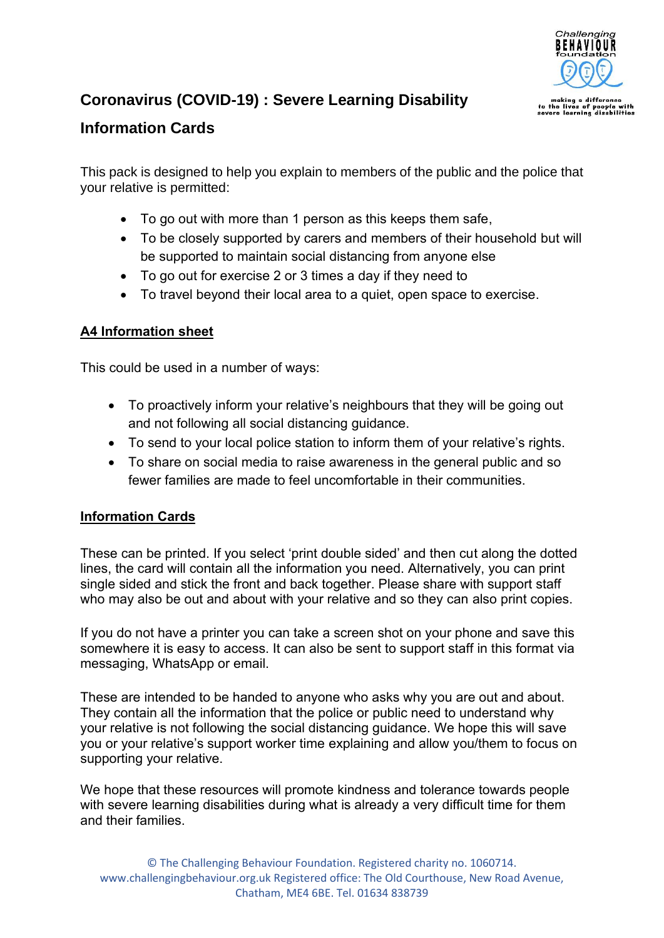

## **Coronavirus (COVID-19) : Severe Learning Disability**

### **Information Cards**

This pack is designed to help you explain to members of the public and the police that your relative is permitted:

- To go out with more than 1 person as this keeps them safe,
- To be closely supported by carers and members of their household but will be supported to maintain social distancing from anyone else
- To go out for exercise 2 or 3 times a day if they need to
- To travel beyond their local area to a quiet, open space to exercise.

#### **A4 Information sheet**

This could be used in a number of ways:

- To proactively inform your relative's neighbours that they will be going out and not following all social distancing guidance.
- To send to your local police station to inform them of your relative's rights.
- To share on social media to raise awareness in the general public and so fewer families are made to feel uncomfortable in their communities.

#### **Information Cards**

These can be printed. If you select 'print double sided' and then cut along the dotted lines, the card will contain all the information you need. Alternatively, you can print single sided and stick the front and back together. Please share with support staff who may also be out and about with your relative and so they can also print copies.

If you do not have a printer you can take a screen shot on your phone and save this somewhere it is easy to access. It can also be sent to support staff in this format via messaging, WhatsApp or email.

These are intended to be handed to anyone who asks why you are out and about. They contain all the information that the police or public need to understand why your relative is not following the social distancing guidance. We hope this will save you or your relative's support worker time explaining and allow you/them to focus on supporting your relative.

We hope that these resources will promote kindness and tolerance towards people with severe learning disabilities during what is already a very difficult time for them and their families.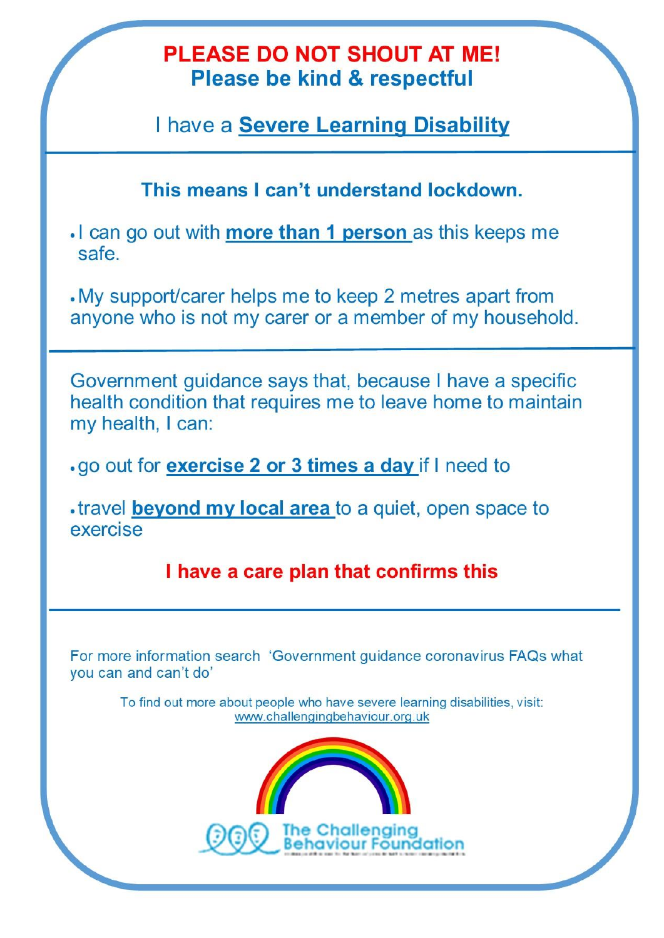# **PLEASE DO NOT SHOUT AT ME! Please be kind & respectful**

I have a Severe Learning Disability

This means I can't understand lockdown.

. I can go out with more than 1 person as this keeps me safe

. My support/carer helps me to keep 2 metres apart from anyone who is not my carer or a member of my household.

Government guidance says that, because I have a specific health condition that requires me to leave home to maintain my health, I can:

.go out for **exercise 2 or 3 times a day** if I need to

.travel beyond my local area to a quiet, open space to exercise

I have a care plan that confirms this

For more information search 'Government guidance coronavirus FAQs what you can and can't do'

To find out more about people who have severe learning disabilities, visit: www.challengingbehaviour.org.uk

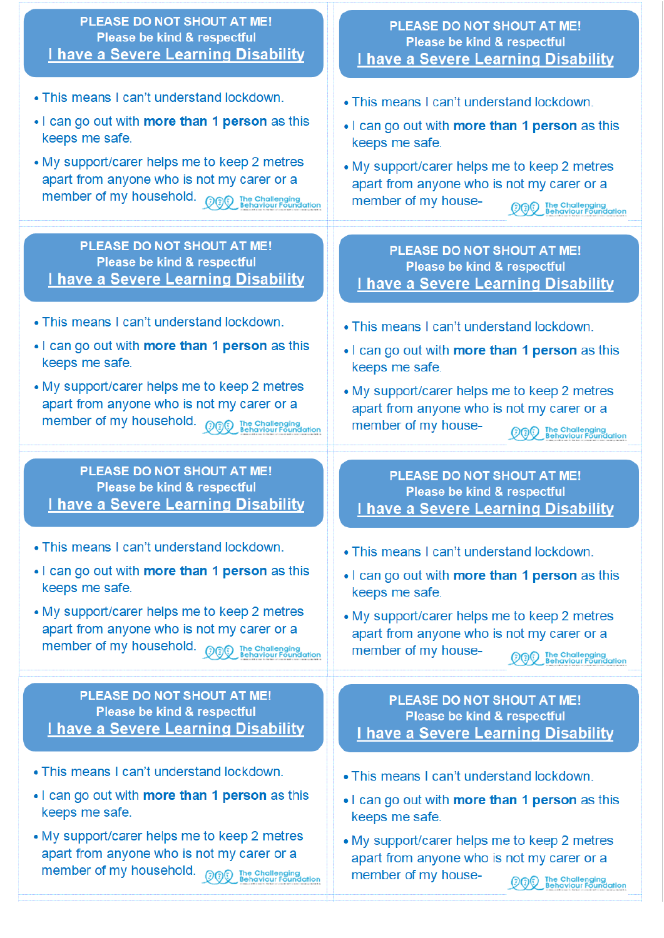| PLEASE DO NOT SHOUT AT ME!                                                                                                                                                                                                                                                   | PLEASE DO NOT SHOUT AT ME!                                                                                                                                                                                                                                                    |
|------------------------------------------------------------------------------------------------------------------------------------------------------------------------------------------------------------------------------------------------------------------------------|-------------------------------------------------------------------------------------------------------------------------------------------------------------------------------------------------------------------------------------------------------------------------------|
| Please be kind & respectful                                                                                                                                                                                                                                                  | Please be kind & respectful                                                                                                                                                                                                                                                   |
| I have a Severe Learning Disability                                                                                                                                                                                                                                          | I have a Severe Learning Disability                                                                                                                                                                                                                                           |
| • This means I can't understand lockdown.<br>• I can go out with more than 1 person as this<br>keeps me safe.<br>• My support/carer helps me to keep 2 metres<br>apart from anyone who is not my carer or a<br>member of my household.<br><b>OOD</b> The Challenging         | • This means I can't understand lockdown.<br>. I can go out with more than 1 person as this<br>keeps me safe.<br>• My support/carer helps me to keep 2 metres<br>apart from anyone who is not my carer or a<br>member of my house-<br>The Challenging<br>Behaviour Foundation |
| PLEASE DO NOT SHOUT AT ME!                                                                                                                                                                                                                                                   | PLEASE DO NOT SHOUT AT ME!                                                                                                                                                                                                                                                    |
| Please be kind & respectful                                                                                                                                                                                                                                                  | Please be kind & respectful                                                                                                                                                                                                                                                   |
| I have a Severe Learning Disability                                                                                                                                                                                                                                          | I have a Severe Learning Disability                                                                                                                                                                                                                                           |
| • This means I can't understand lockdown.<br>. I can go out with more than 1 person as this<br>keeps me safe.<br>• My support/carer helps me to keep 2 metres<br>apart from anyone who is not my carer or a<br>member of my household.<br><b>OF The Challenging</b>          | • This means I can't understand lockdown.<br>. I can go out with more than 1 person as this<br>keeps me safe.<br>• My support/carer helps me to keep 2 metres<br>apart from anyone who is not my carer or a<br>member of my house-<br>The Challenging<br>Behaviour Foundation |
| PLEASE DO NOT SHOUT AT ME!                                                                                                                                                                                                                                                   | PLEASE DO NOT SHOUT AT ME!                                                                                                                                                                                                                                                    |
| Please be kind & respectful                                                                                                                                                                                                                                                  | Please be kind & respectful                                                                                                                                                                                                                                                   |
| I have a Severe Learning Disability                                                                                                                                                                                                                                          | I have a Severe Learning Disability                                                                                                                                                                                                                                           |
| . This means I can't understand lockdown.<br>. I can go out with more than 1 person as this<br>keeps me safe.<br>• My support/carer helps me to keep 2 metres<br>apart from anyone who is not my carer or a<br>member of my household.<br><sup>1</sup> David Behaviour Found | . This means I can't understand lockdown.<br>• I can go out with more than 1 person as this<br>keeps me safe.<br>• My support/carer helps me to keep 2 metres<br>apart from anyone who is not my carer or a<br>member of my house-<br>The Challenging<br>Behaviour Foundation |
| PLEASE DO NOT SHOUT AT ME!                                                                                                                                                                                                                                                   | PLEASE DO NOT SHOUT AT ME!                                                                                                                                                                                                                                                    |
| Please be kind & respectful                                                                                                                                                                                                                                                  | Please be kind & respectful                                                                                                                                                                                                                                                   |
| I have a Severe Learning Disability                                                                                                                                                                                                                                          | I have a Severe Learning Disability                                                                                                                                                                                                                                           |
| • This means I can't understand lockdown.<br>• I can go out with more than 1 person as this<br>keeps me safe.<br>• My support/carer helps me to keep 2 metres<br>apart from anyone who is not my carer or a                                                                  | • This means I can't understand lockdown.<br>. I can go out with more than 1 person as this<br>keeps me safe.<br>• My support/carer helps me to keep 2 metres<br>apart from anyone who is not my carer or a<br>member of my house-<br><b>The Challenging</b>                  |